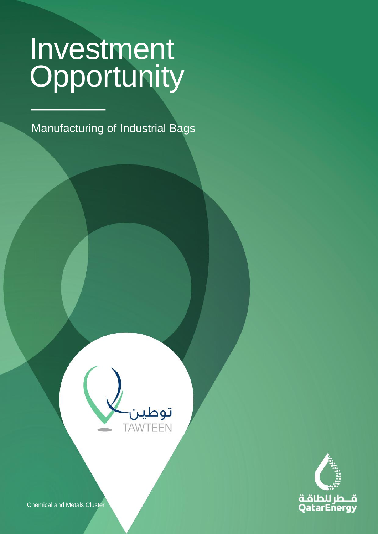CLASSIFICATION: C2 - CONFIDENTIAL

Manufacturing of Industrial Bags

**Light Equipment Business Services & Other**





Chemical and Metals Cluster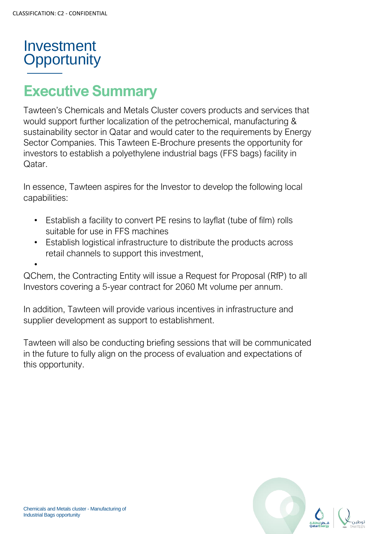

•

# **Executive Summary**

Tawteen's Chemicals and Metals Cluster covers products and services that would support further localization of the petrochemical, manufacturing & sustainability sector in Qatar and would cater to the requirements by Energy Sector Companies. This Tawteen E-Brochure presents the opportunity for investors to establish a polyethylene industrial bags (FFS bags) facility in Qatar.

In essence, Tawteen aspires for the Investor to develop the following local capabilities:

- Establish a facility to convert PE resins to layflat (tube of film) rolls suitable for use in FFS machines
- Establish logistical infrastructure to distribute the products across retail channels to support this investment,

QChem, the Contracting Entity will issue a Request for Proposal (RfP) to all Investors covering a 5-year contract for 2060 Mt volume per annum.

In addition, Tawteen will provide various incentives in infrastructure and supplier development as support to establishment.

Tawteen will also be conducting briefing sessions that will be communicated in the future to fully align on the process of evaluation and expectations of this opportunity.

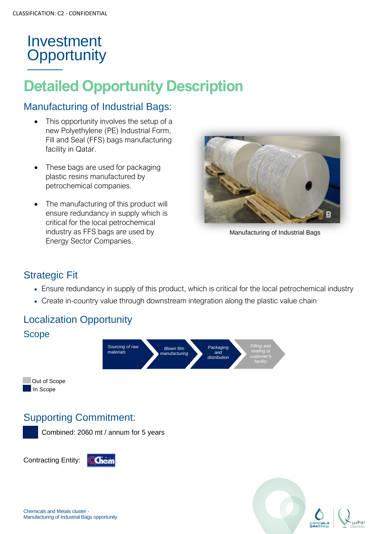# **Detailed Opportunity Description**

#### Manufacturing of Industrial Bags:

- This opportunity involves the setup of a new Polyethylene (PE) Industrial Form, Fill and Seal (FFS) bags manufacturing facility in Qatar.
- These bags are used for packaging plastic resins manufactured by petrochemical companies.
- The manufacturing of this product will ensure redundancy in supply which is critical for the local petrochemical industry as FFS bags are used by Energy Sector Companies.



Manufacturing of Industrial Bags

## Strategic Fit

- Ensure redundancy in supply of this product, which is critical for the local petrochemical industry
- Create in-country value through downstream integration along the plastic value chain

## Localization Opportunity



### Supporting Commitment:

Combined: 2060 mt / annum for 5 years

Contracting Entity:

Image Caption





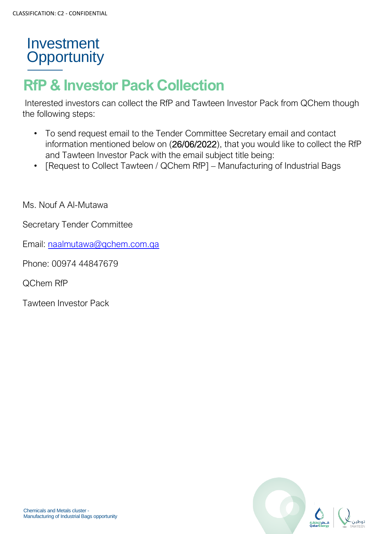# **RfP & Investor Pack Collection**

Interested investors can collect the RfP and Tawteen Investor Pack from QChem though the following steps:

- To send request email to the Tender Committee Secretary email and contact information mentioned below on (26/06/2022), that you would like to collect the RfP and Tawteen Investor Pack with the email subject title being:
- [Request to Collect Tawteen / QChem RfP] Manufacturing of Industrial Bags

Ms. Nouf A Al-Mutawa

Secretary Tender Committee

Email: [naalmutawa@qchem.com.qa](mailto:naalmutawa@qchem.com.qa)

Phone: 00974 44847679

QChem RfP

Tawteen Investor Pack